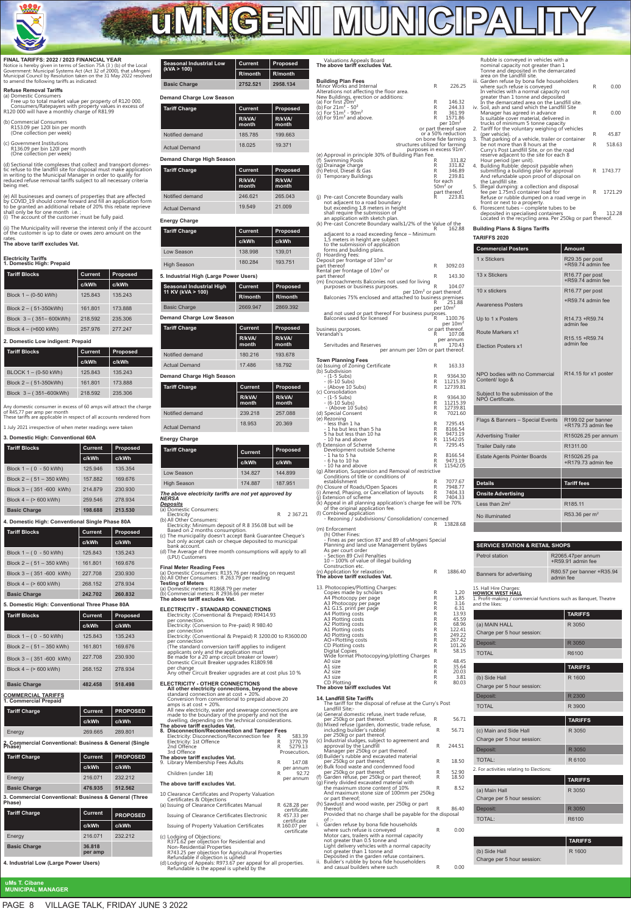

# **uMNGENI MUNICIP**

## **FINAL TARIFFS: 2022 / 2023 FINANCIAL YEAR** Notice is hereby given in terms of Section 75A (3 ) (b) of the Local<br>Government: Municipal Systems Act (Act 32 of 2000), that uMngeni<br>Municipal Council by Resolution taken on the 31 May 2022 resolved<br>to amend the following

**Refuse Removal Tariffs**<br>
(a) Domestic Consumers<br>
Free up to total market value per property of R120 000.<br>
Consumers/Ratepayers with property values in excess of<br>
R120 000 will have a monthly charge of R81.99

- (b) Commercial Consumers R153.09 per 120l bin per month (One collection per week)
- 
- (c) Government Institutions R136.09 per bin 120l per month (One collection per week)

(d) Sectional title complexes that collect and transport domes-<br>tic refuse to the landfill site for disposal must make application<br>in writing to the Municipal Manager in order to qualify for<br>reduced refuse removal tariffs being met.

(e) All businesses and owners of properties that are affected<br>by COVID\_19 should come forward and fill an application form<br>to be granted an additional rebate of 20% this rebate reprieve<br>shall only be for one month i.e. ; (i) The account of the customer must be fully paid.

(ii) The Municipality will reverse the interest only if the account of the customer is up to date or owes zero amount on the rates. **The above tariff excludes Vat.**

## **Electricity Tariffs 1. Domestic High: Prepaid**

| <b>Tariff Blocks</b>              | Current        | Proposed        |  |  |  |
|-----------------------------------|----------------|-----------------|--|--|--|
|                                   | c/kWh          | c/kWh           |  |  |  |
| Block $1 - (0-50$ kWh)            | 125.843        | 135.243         |  |  |  |
| Block 2 - (51-350kWh)             | 161.801        | 173.888         |  |  |  |
| Block $3 - (351 - 600kWh)$        | 218.592        | 235.306         |  |  |  |
| Block $4 - (>600$ kWh)            | 257.976        | 277.247         |  |  |  |
| 2. Domestic Low indigent: Prepaid |                |                 |  |  |  |
| <b>Tariff Blocks</b>              | <b>Current</b> | <b>Proposed</b> |  |  |  |
|                                   | c/kWh          | c/kWh           |  |  |  |
| BLOCK 1 - (0-50 kWh)              | 125.843        | 135.243         |  |  |  |

Block 2 – ( 51-350kWh) 161.801 173.888 Block 3 – ( 351–600kWh) 218.592 235.306

Any domestic consumer in excess of 60 amps will attract the charge of R45,77 per amp per month These tariffs are applicable in respect of all accounts rendered from

1 July 2021 irrespective of when meter readings were taken

| <b>Tariff Blocks</b>        | <b>Current</b> | Proposed |  |
|-----------------------------|----------------|----------|--|
|                             | c/kWh          | c/kWh    |  |
| Block $1 - (0 - 50$ kWh)    | 125 946        | 135.354  |  |
| Block $2 - (51 - 350$ kWh)  | 157 882        | 169 676  |  |
| Block $3 - (351 - 600$ kWh) | 214879         | 230.930  |  |
| Block $4 - (> 600$ kWh)     | 259.546        | 278.934  |  |
| <b>Basic Charge</b>         | 198.688        | 213.530  |  |

## **4. Domestic High: Conventional Single Phase 80A**

| <b>Tariff Blocks</b>                               | Current |                 |  |  |
|----------------------------------------------------|---------|-----------------|--|--|
|                                                    | c/kWh   | c/kWh           |  |  |
| Block $1 - (0 - 50$ kWh)                           | 125.843 | 135.243         |  |  |
| Block $2 - (51 - 350$ kWh)                         | 161.801 | 169.676         |  |  |
| Block $3 - (351 - 600$ kWh)                        | 227.708 | 230.930         |  |  |
| Block $4 - (> 600$ kWh)                            | 268.152 | 278.934         |  |  |
| <b>Basic Charge</b>                                | 242.702 | 260.832         |  |  |
| 5. Domestic High: Conventional Three Phase 80A     |         |                 |  |  |
| <b>Tariff Blocks</b>                               | Current | Proposed        |  |  |
|                                                    | c/kWh   | c/kWh           |  |  |
| Block $1 - (0 - 50$ kWh)                           | 125.843 | 135.243         |  |  |
| Block $2 - (51 - 350$ kWh)                         | 161.801 | 169.676         |  |  |
| Block $3 - (351 - 600$ kWh)                        | 227.708 | 230.930         |  |  |
| Block $4 - (> 600$ kWh)                            | 268.152 | 278.934         |  |  |
| <b>Basic Charge</b>                                | 482.458 | 518.498         |  |  |
| <b>COMMERCIAL TARIFFS</b><br>1. Commercial Prepaid |         |                 |  |  |
| <b>Tariff Charge</b>                               | Current | <b>PROPOSED</b> |  |  |
|                                                    | c/kWh   | c/kWh           |  |  |
| Energy                                             | 269.665 | 289.801         |  |  |

| 2, Commercial Conventional: Business & General (Single<br>Phase) |                |                 |  |  |
|------------------------------------------------------------------|----------------|-----------------|--|--|
| <b>Tariff Charge</b>                                             | <b>Current</b> | <b>PROPOSED</b> |  |  |
|                                                                  | c/kWh          | c/kWh           |  |  |
| Energy                                                           | 216.071        | 232.212         |  |  |
| <b>Basic Charge</b>                                              | 476.935        | 512.562         |  |  |
| 3. Commercial Conventional: Business & General (Three<br>Phase)  |                |                 |  |  |
| <b>Tariff Charge</b>                                             | Current        | <b>PROPOSED</b> |  |  |
|                                                                  |                |                 |  |  |
|                                                                  | c/kWh          | c/kWh           |  |  |
| Energy                                                           | 216.071        | 232.212         |  |  |

**4. Industrial Low (Large Power Users)** 

**uMs T. Cibane MUNICIPAL MANAGER**

| <b>Seasonal Industrial Low</b><br>(kVA > 100)        | Current<br>R/month         | Proposed<br>R/month         |
|------------------------------------------------------|----------------------------|-----------------------------|
| <b>Basic Charge</b>                                  | 2752.521                   | 2958.134                    |
| <b>Demand Charge Low Season</b>                      |                            |                             |
| <b>Tariff Charge</b>                                 | <b>Current</b>             | Proposed                    |
|                                                      | R/kVA/<br>month            | R/kVA/<br>month             |
| Notified demand                                      | 185.785                    | 199.663                     |
| <b>Actual Demand</b>                                 | 18.025                     | 19.371                      |
| Demand Charge High Season                            |                            |                             |
| <b>Tariff Charge</b>                                 | Current                    | Proposed                    |
|                                                      | R/kVA/<br>month            | R/kVA/<br>month             |
| Notified demand                                      | 246.621                    | 265.043                     |
| <b>Actual Demand</b>                                 | 19.549                     | 21.009                      |
| <b>Energy Charge</b>                                 |                            |                             |
| <b>Tariff Charge</b>                                 | Current                    | Proposed                    |
|                                                      | c/kWh                      | c/kWh                       |
| Low Season                                           | 138.998                    | 139,01                      |
| <b>High Season</b>                                   | 180.284                    | 193.751                     |
| 5. Industrial High (Large Power Users)               |                            |                             |
| <b>Seasonal Industrial High</b><br>11 KV (kVA > 100) | Current                    | Proposed                    |
|                                                      | R/month                    | R/month                     |
| <b>Basic Charge</b>                                  | 2669.947                   | 2869.392                    |
| <b>Demand Charge Low Season</b>                      |                            |                             |
| <b>Tariff Charge</b>                                 | Current<br>R/kVA/<br>month | Proposed<br>R/kVA/<br>month |
| Notified demand                                      | 180.216                    | 193.678                     |
| <b>Actual Demand</b>                                 | 17.486                     | 18.792                      |
| Demand Charge High Season                            |                            |                             |
| <b>Tariff Charge</b>                                 | <b>Current</b>             | Proposed                    |
|                                                      | R/kVA/<br>month            | R/kVA/<br>month             |
| Notified demand                                      | 239.218                    | 257.088                     |
| <b>Actual Demand</b>                                 | 18.953                     | 20.369                      |
| <b>Energy Charge</b>                                 |                            |                             |
| <b>Tariff Charge</b>                                 | <b>Current</b>             | Proposed                    |
|                                                      | c/kWh                      | c/kWh                       |

| <b>High Season</b>                                                                                                                                                                                                                                                                                                                                                                                                                                                                                     | 174,887 |  | 187.951 |
|--------------------------------------------------------------------------------------------------------------------------------------------------------------------------------------------------------------------------------------------------------------------------------------------------------------------------------------------------------------------------------------------------------------------------------------------------------------------------------------------------------|---------|--|---------|
| The above electricity tariffs are not yet approved by<br><b>NERSA</b><br>Deposits<br>(a) Domestic Consumers:<br>2 3 6 7 . 2 1<br>Electricity<br>R<br>(b) All Other Consumers:<br>Electricity: Minimum deposit of R 8 356.08 but will be<br>Based on 2 months consumption.<br>(c) The municipality doesn't accept Bank Guarantee Cheque's<br>but only accept cash or cheque deposited to municipal<br>bank account.<br>(d) The Average of three month consumptions will apply to all<br>(LPU) Customers |         |  |         |
| <b>Final Meter Reading Fees</b><br>(a) Domestic Consumers: R135.76 per reading on request<br>(b) All Other Consumers : R 263.79 per reading<br><b>Testing of Meters</b><br>(a) Domestic meters: R1868.79 per meter<br>(b) Commercial meters: R 2936.66 per meter<br>The above tariff excludes Vat.                                                                                                                                                                                                     |         |  |         |

Low Season 134.827 144.899

| ELECTRICITY - STANDARD CONNECTIONS<br>Electricity: (Conventional & Prepaid) R9414.93<br>per connection.                                                                                                       |
|---------------------------------------------------------------------------------------------------------------------------------------------------------------------------------------------------------------|
| Electricity: (Conversion to Pre-paid) R 980.40<br>per connection                                                                                                                                              |
| Electricity: (Conventional & Prepaid) R 3200.00 to R3600.00<br>per connection                                                                                                                                 |
| (The standard conversion tariff applies to indigent<br>applicants only and the application must<br>Be made for a 20 amp circuit breaker or lower)<br>Domestic Circuit Breaker upgrades R1809.98<br>per change |
| Any other Circuit Breaker upgrades are at cost plus 10 %                                                                                                                                                      |
| <b>ELECTRICITY - OTHER CONNECTIONS</b><br>All other electricity connections, beyond the above<br>standard connection are at cost + 20%.<br>Conversion from conventional to prepaid above 20                   |

| amps is at $cost + 20\%$ .<br>All new electricity, water and sewerage connections are<br>made to the boundary of the property and not the<br>dwelling, depending on the technical considerations.<br>The above tariff excludes Vat.<br>8. Disconnection/Reconnection and Tamper Fees |         |                                                  |
|--------------------------------------------------------------------------------------------------------------------------------------------------------------------------------------------------------------------------------------------------------------------------------------|---------|--------------------------------------------------|
| Electricity: Disconnection/Reconnection fee<br>Electricity: 1st Offence<br>2nd Offence<br>3rd Offence                                                                                                                                                                                | R       | 583.39<br>R 3770.79<br>R 5279.13<br>Prosecution. |
| The above tariff excludes Vat.<br>9. Library Membership Fees Adults<br>Children (under 18)                                                                                                                                                                                           | R.<br>R | 147.08<br>per annum<br>92.72                     |
| The above tariff excludes Vat.                                                                                                                                                                                                                                                       |         | per annum                                        |
| 10 Clearance Certificates and Property Valuation<br>Certificates & Objections<br>(a) Issuing of Clearance Certificates Manual                                                                                                                                                        |         | R 628.28 per                                     |
| Issuing of Clearance Certificates Electronic                                                                                                                                                                                                                                         |         | certificate.<br>R 457.33 per                     |

| issuing of clearance certificates Liectronic                                                                                                               | $N$ + $J$ , $J$ , $J$<br>certificate |
|------------------------------------------------------------------------------------------------------------------------------------------------------------|--------------------------------------|
| Issuing of Property Valuation Certificates                                                                                                                 | R 160.07 per<br>certificate          |
| (c) Lodging of Objections:<br>R371.62 per objection for Residential and<br>Non-Residential Properties<br>R743.25 per objection for Agricultural Properties |                                      |

| Valuations Appeals Board<br>The above tariff excludes Vat. |
|------------------------------------------------------------|
| <b>Building Plan Fees</b>                                  |

| The above tariff excludes Vat.                                                                                                    |          |                                              |
|-----------------------------------------------------------------------------------------------------------------------------------|----------|----------------------------------------------|
| <b>Building Plan Fees</b>                                                                                                         |          |                                              |
| Minor Works and Internal<br>Alterations not affecting the floor area.                                                             | R.       | 226.25                                       |
| New Buildings, erection or additions:                                                                                             | R        | 146.32                                       |
| New bullings, greenor<br>(a) For first $20m^2$<br>(b) For $21m^2 - 50^2$<br>(c) For $51m^2 - 90m^2$<br>(d) For $91m^2$ and above. | R<br>R   | 244.33<br>361.99                             |
|                                                                                                                                   | R        | 1571.86                                      |
|                                                                                                                                   |          | per 10m <sup>2</sup><br>or part thereof save |
|                                                                                                                                   |          | or a 50% reduction<br>on bone fide farming   |
| structures utilized for farming<br>purposes in excess 91m <sup>3</sup>                                                            |          |                                              |
| (e) Approval in principle 30% of Building Plan Fee.                                                                               |          |                                              |
| (f) Swimming Pools<br>(g) Drainage charge                                                                                         | R<br>R.  | 331.82<br>331.82                             |
| (h) Petrol, Diesel & Gas<br>(i) Temporary Buildings                                                                               | R.<br>R  | 346.89<br>239.81                             |
|                                                                                                                                   |          | for each<br>$502$ or                         |
|                                                                                                                                   | R        | part thereof.                                |
| (j) Pre-cast Concrete Boundary walls<br>not adjacent to a road boundary                                                           |          | 223.81                                       |
| but exceeding 1,8 meters in height<br>shall require the submission of                                                             |          |                                              |
| an application with sketch plan.<br>(k) Pre-cast Concrete Boundary walls1/2% of the Value of the                                  |          |                                              |
|                                                                                                                                   | R        | 162.88                                       |
| adjacent to a road exceeding fence – Minimum<br>1,5 meters in height are subject<br>to the submission of application              |          |                                              |
| forms and building plans.<br>(I) Hoarding Fees:                                                                                   |          |                                              |
| Deposit per frontage of 10m <sup>2</sup> or<br>part thereof                                                                       | R        | 3092.03                                      |
| Rental per frontage of 10m <sup>2</sup> or<br>part thereof                                                                        | R        | 143.30                                       |
| (m) Encroachments Balconies not used for living<br>purposes or business purposes.                                                 | R        | 104.07                                       |
| per 10m <sup>2</sup> or part thereof.<br>Balconies 75% enclosed and attached to business premises                                 | R        | 251.88                                       |
| and not used or part thereof For business purposes.                                                                               |          | per 10m <sup>2</sup>                         |
| Balconies used for licensed                                                                                                       | R        | 1100.76<br>per 10m <sup>2</sup>              |
| business purposes.<br>Verandah's                                                                                                  |          | or part thereof.<br>107.08                   |
|                                                                                                                                   | R        | per annum                                    |
| Servitudes and Reserves<br>per annum per 10m or part thereof.                                                                     |          | 170.43                                       |
| Town Planning Fees                                                                                                                |          |                                              |
| (a) Issuing of Zoning Certificate<br>(b) Subdivision                                                                              | R.       | 163.33                                       |
| - (1-5 Subs)                                                                                                                      | R.<br>R. | 9364.30<br>11215.39                          |
| - (6-10 Subs)<br>- (Above 10 Subs)                                                                                                | R        | 12739.81                                     |
| (c) Consolidation<br>- (1-5 Subs)                                                                                                 | R        | 9364.30                                      |
| - (6-10 Subs)<br>- (Above 10 Subs)                                                                                                | R.<br>R  | 11215.39<br>12739.81                         |
| (d) Special Consent                                                                                                               | R        | 7021.60                                      |
| (e) Rezoning<br>- less than 1 ha                                                                                                  | R        | 7295.45                                      |
| - 1 ha but less than 5 ha<br>5 ha but less than 10 ha                                                                             | R<br>R   | 8166.54<br>9473.19                           |
| - 10 ha and above<br>(f) Extension of Scheme                                                                                      | R<br>R   | 11542.05<br>7295.45                          |
| Development outside Scheme                                                                                                        |          |                                              |
| - 1 ha to 5 ha<br>- 6 ha to 10 ha                                                                                                 | R<br>R   | 8166.54<br>9473.19                           |
| - 10 ha and above<br>(g) Alteration, Suspension and Removal of restrictive                                                        | R        | 11542.05                                     |
| Conditions of title or conditions of<br>establishment                                                                             | R        | 7077.67                                      |
| (h) Closure of Roads/Open Spaces                                                                                                  | R        | 7948.77                                      |
| (i) Amend, Phasing, or Cancellation of layouts<br>(j) Extension of scheme                                                         | R<br>R   | 7404.33<br>7404.33                           |
| (k) Appeal in all planning application's charge fee will be 70%<br>of the original application fee.                               |          |                                              |
| (I) Combined application<br>- Rezoning / subdivisions/ Consolidation/ concerned                                                   |          |                                              |
| (m) Enforcement                                                                                                                   | R        | 13828.68                                     |
| (h) Other Fines:<br>- Fines as per section 87 and 89 of uMngeni Special                                                           |          |                                              |
| Planning and land use Management bylaws                                                                                           |          |                                              |
| As per court order<br>- Section 89 Civil Penalties                                                                                |          |                                              |
| 10 – 100% of value of illegal building.                                                                                           |          |                                              |

10 – 100% of value of illegal building Construction etc. (n) Application for relaxation R 1886.40 **The above tariff excludes Vat.**

| 13. Photocopies/Plotting Charges:<br>Copies made by scholars<br>A4 Photocopy per page<br>A3 Photocopy per page<br>A1 G.I.S. print per page<br>A4 Plotting costs<br>A3 Plotting costs<br>A2 Plotting costs<br>A1 Plotting costs<br>A0 Plotting costs<br>AO+Plotting costs<br>CD Plotting costs<br>Digital Copies<br>Wide format Photocopying/plotting Charges<br>A0 size<br>A1 size<br>A <sub>2</sub> size<br>A3 size | R<br>R<br>R<br>R<br>R<br>R<br>R<br>R<br>R<br>R<br>R<br>R<br>R<br>R<br>R<br>R | 1.20<br>1.85<br>3.16<br>6.31<br>13.93<br>45.59<br>68.96<br>122.41<br>249.22<br>267.42<br>101.26<br>58.15<br>48.45<br>35.64<br>20.03<br>3.81 |
|----------------------------------------------------------------------------------------------------------------------------------------------------------------------------------------------------------------------------------------------------------------------------------------------------------------------------------------------------------------------------------------------------------------------|------------------------------------------------------------------------------|---------------------------------------------------------------------------------------------------------------------------------------------|
| <b>CD Plotting</b><br>The above tariff excludes Vat                                                                                                                                                                                                                                                                                                                                                                  | R                                                                            | 80.03                                                                                                                                       |
|                                                                                                                                                                                                                                                                                                                                                                                                                      |                                                                              |                                                                                                                                             |

**14. Landfill Site Tariffs** The tariff for the disposal of refuse at the Curry's Post

|     | Landfill Site;-                                                                |   |        |
|-----|--------------------------------------------------------------------------------|---|--------|
|     | (a) General domestic refuse, inert trade refuse,<br>per 250kg or part thereof. | R | 56.71  |
|     | (b) Mixed refuse (garden, domestic, trade refuse,                              |   |        |
|     | including builder's rubble)                                                    | R | 56.71  |
|     | per 250kg or part thereof.                                                     |   |        |
|     | (c) Industrial sludges, subject to agreement and<br>approval by the Landfill   | R | 244.51 |
|     | Manager per 250kg or part thereof.                                             |   |        |
|     | (d) Builder's rubble and excavated material                                    |   |        |
|     | per 250kg or part thereof;                                                     | R | 18.50  |
|     | (e) Bulk food waste and condemned food                                         |   |        |
|     | per 250kg or part thereof;                                                     | R | 52.90  |
|     | (f) Garden refuse, per 250kg or part thereof;                                  | R | 18.50  |
|     | (g) Finely divided excavated material with                                     |   |        |
|     | the maximum stone content of 10%                                               | R | 8.52   |
|     | And maximum stone size of 100mm per 250kg<br>or part thereof;                  |   |        |
|     | (h) Sawdust and wood waste, per 250kg or part                                  |   |        |
|     | thereof;                                                                       | R | 86.40  |
|     | Provided that no charge shall be payable for the disposal                      |   |        |
|     | of :                                                                           |   |        |
| i.  | Garden refuse by bona fide households                                          |   |        |
|     | where such refuse is conveyed                                                  | R | 0.00   |
|     | Motor cars, trailers with a normal capacity                                    |   |        |
|     | not greater than 0.5 tonne and                                                 |   |        |
|     | Light delivery vehicles with a normal capacity                                 |   |        |
|     | not greater than 1 tonne and                                                   |   |        |
|     | Deposited in the garden refuse containers.                                     |   |        |
| ii. | Builder's rubble by bona fide householders                                     |   |        |
|     | and casual builders where such                                                 | R | 0.00   |

|    | 6. Florescent tubes – complete tubes to be<br>deposited in specialised containers<br>Located in the recycling area. Per 250kg or part thereof.<br><b>Building Plans &amp; Signs Tariffs</b><br><b>TARIFFS 2020</b>                    | R | 112.28  |
|----|---------------------------------------------------------------------------------------------------------------------------------------------------------------------------------------------------------------------------------------|---|---------|
|    |                                                                                                                                                                                                                                       |   |         |
|    |                                                                                                                                                                                                                                       |   |         |
|    |                                                                                                                                                                                                                                       |   |         |
|    | 5. Illegal dumping: a collection and disposal<br>fee per 1.75m3 container load for<br>Refuse or rubble dumped on a road verge in<br>front or next to a property.                                                                      | R | 1721.29 |
|    | Hour period (per unit).<br>4. Building Rubble: deposit payable when<br>submitting a building plan for approval<br>And refundable upon proof of disposal on<br>the Landfill site.                                                      | R | 1743.77 |
| 3. | That parking of a vehicle, trailer or container<br>be not more than 8 hours at the<br>Curry's Post Landfill Site, or on the road<br>reserve adjacent to the site for each 8                                                           | R | 518.63  |
| 2. | trucks of minimum 5 tonne capacity<br>Tariff for the voluntary weighing of vehicles<br>(per vehicle).                                                                                                                                 | R | 45.87   |
|    | greater than 1 tonne and deposited<br>In the demarcated area on the Landfill site.<br>iv. Soil, ash and sand which the Landfill Site<br>Manager has agreed in advance<br>Is suitable cover material, delivered in                     | R | 0.00    |
|    | nominal capacity not greater than 1<br>Tonne and deposited in the demarcated<br>area on the Landfill site.<br>iii. Garden refuse by bona fide householders<br>where such refuse is conveyed<br>In vehicles with a normal capacity not | R | 0.00    |

Rubble is conveyed in vehicles with a

| <b>Commercial Posters</b>                                                                                | Amount                                              |
|----------------------------------------------------------------------------------------------------------|-----------------------------------------------------|
| 1 x Stickers                                                                                             | R29.35 per post<br>+R59.74 admin fee                |
| 13 x Stickers                                                                                            | R16.77 per post<br>+R59.74 admin fee                |
| 10 x stickers                                                                                            | R16.77 per post                                     |
| <b>Awareness Posters</b>                                                                                 | +R59.74 admin fee                                   |
| Up to 1 x Posters                                                                                        | R <sub>14.73</sub> +R <sub>59.74</sub><br>admin fee |
| Route Markers x1                                                                                         | R <sub>15.15</sub> +R <sub>59.74</sub>              |
| <b>Election Posters x1</b>                                                                               | admin fee                                           |
| NPO bodies with no Commercial<br>Content/ logo &<br>Subject to the submission of the<br>NPÓ Certificate. | R14.15 for x1 poster                                |
|                                                                                                          |                                                     |
| Flags & Banners - Special Events                                                                         | R199.02 per banner<br>+R179.73 admin fee            |
| <b>Advertising Trailer</b>                                                                               | R15026.25 per annum                                 |
| <b>Trailer Daily rate</b>                                                                                | R1311.00                                            |
| <b>Estate Agents Pointer Boards</b>                                                                      | R15026.25 pa<br>+R179.73 admin fee                  |
|                                                                                                          |                                                     |
| <b>Details</b>                                                                                           | <b>Tariff fees</b>                                  |
| <b>Onsite Advertising</b>                                                                                |                                                     |
| Less than $2m^2$                                                                                         | R185.11                                             |
| No illuminated                                                                                           | R53.36 per m <sup>2</sup>                           |
|                                                                                                          |                                                     |

| <b>SERVICE STATION &amp; RETAIL SHOPS</b> |                                         |  |  |
|-------------------------------------------|-----------------------------------------|--|--|
| Petrol station                            | R2065.47per annum<br>+R59.91 admin fee  |  |  |
| Banners for advertising                   | R80.57 per banner + R35.94<br>admin fee |  |  |
| 15 Hall Hire Charges                      |                                         |  |  |

## 15. Hall Hire Charges: **HOWICK WEST HALL**

mercial functions such as Banquet, Theatre and the likes:

|                                                      | <b>TARIFFS</b> |
|------------------------------------------------------|----------------|
| (a) MAIN HALL<br>Charge per 5 hour session:          | R 3050         |
| Deposit:                                             | R 3050         |
| <b>TOTAL</b>                                         | R6100          |
|                                                      | <b>TARIFFS</b> |
| (b) Side Hall<br>Charge per 5 hour session:          | R 1600         |
| Deposit:                                             | R 2300         |
| <b>TOTAL</b>                                         | R 3900         |
|                                                      | <b>TARIFFS</b> |
| (c) Main and Side Hall<br>Charge per 5 hour session: | R 3050         |
| Deposit:                                             | R 3050         |
| <b>TOTAL:</b>                                        | R 6100         |
| 2. For activities relating to Elections:             |                |
|                                                      | <b>TARIFFS</b> |
| (a) Main Hall<br>Charge per 5 hour session:          | R 3050         |
| Deposit:                                             | R 3050         |
| <b>TOTAL:</b>                                        | R6100          |
|                                                      |                |
|                                                      | <b>TARIFFS</b> |

**TARIFFS** (b) Side Hall Charge per 5 hour session: R 1600

PAGE 8 VILLAGE TALK, FRIDAY JUNE 3 2022

 $(c)$ R371.62 per objection for Residential and Non-Residential Properties R743.25 per objection for Agricultural Properties Refundable if objection is upheld (d) Lodging of Appeals: R973.67 per appeal for all properties. Refundable is the appeal is upheld by the